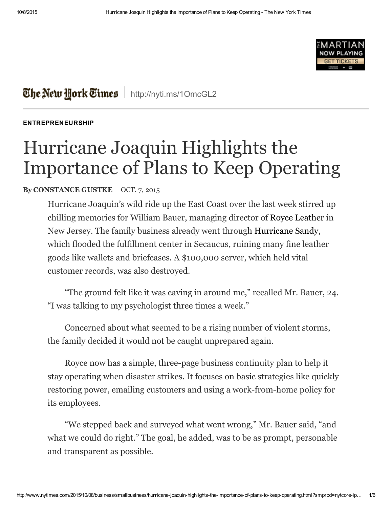

The New Hork Times | <http://nyti.ms/1OmcGL2>

[ENTREPRENEURSHIP](http://www.nytimes.com/pages/business/smallbusiness/index.html)

## Hurricane Joaquin Highlights the Importance of Plans to Keep Operating

## By CONSTANCE GUSTKE OCT. 7, 2015

Hurricane Joaquin's wild ride up the East Coast over the last week stirred up chilling memories for William Bauer, managing director of Royce [Leather](http://royceleathergifts.com/UI/Default.aspx) in New Jersey. The family business already went through [Hurricane](http://topics.nytimes.com/top/reference/timestopics/subjects/h/hurricanes_and_tropical_storms/index.html?inline=nyt-classifier) Sandy, which flooded the fulfillment center in Secaucus, ruining many fine leather goods like wallets and briefcases. A \$100,000 server, which held vital customer records, was also destroyed.

"The ground felt like it was caving in around me," recalled Mr. Bauer, 24. "I was talking to my psychologist three times a week."

Concerned about what seemed to be a rising number of violent storms, the family decided it would not be caught unprepared again.

Royce now has a simple, three-page business continuity plan to help it stay operating when disaster strikes. It focuses on basic strategies like quickly restoring power, emailing customers and using a work-from-home policy for its employees.

"We stepped back and surveyed what went wrong," Mr. Bauer said, "and what we could do right." The goal, he added, was to be as prompt, personable and transparent as possible.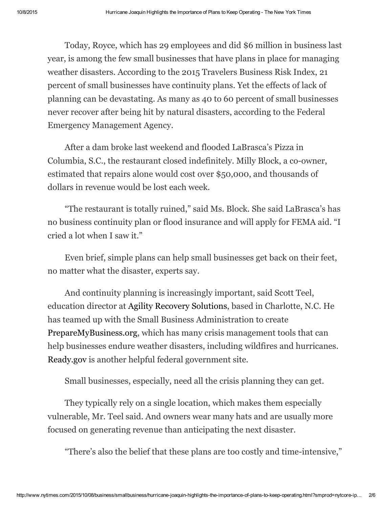Today, Royce, which has 29 employees and did \$6 million in business last year, is among the few small businesses that have plans in place for managing weather disasters. According to the 2015 Travelers Business Risk Index, 21 percent of small businesses have continuity plans. Yet the effects of lack of planning can be devastating. As many as 40 to 60 percent of small businesses never recover after being hit by natural disasters, according to the Federal Emergency Management Agency.

After a dam broke last weekend and flooded LaBrasca's Pizza in Columbia, S.C., the restaurant closed indefinitely. Milly Block, a co-owner, estimated that repairs alone would cost over \$50,000, and thousands of dollars in revenue would be lost each week.

"The restaurant is totally ruined," said Ms. Block. She said LaBrasca's has no business continuity plan or flood insurance and will apply for FEMA aid. "I cried a lot when I saw it."

Even brief, simple plans can help small businesses get back on their feet, no matter what the disaster, experts say.

And continuity planning is increasingly important, said Scott Teel, education director at Agility [Recovery](http://www.agilityrecovery.com/) [Solutions](http://www.agilityrecovery.com%20key%20executives%20for%20agility%20recovery%20solutions%2C%20inc.%20mr.%20bob%20boyd%20chief%20executive%20officer%20and%20president%20mr.%20tony%20temprile%20vice%20president%20of%20finance%20mr.%20paul%20sullivan%20vice%20president%20and%20general%20manager%20mr.%20donald%20holland%20vice%20president%20of%20recovery%20services%20ms.%20emily%20nelson-crain%20vice%20president%20of%20client%20services%20compensation%20as%20of%20fiscal%20year%202015./), based in Charlotte, N.C. He has teamed up with the Small Business Administration to create [PrepareMyBusiness.org](http://preparemybusiness.org/), which has many crisis management tools that can help businesses endure weather disasters, including wildfires and hurricanes. [Ready.gov](http://ready.gov/) is another helpful federal government site.

Small businesses, especially, need all the crisis planning they can get.

They typically rely on a single location, which makes them especially vulnerable, Mr. Teel said. And owners wear many hats and are usually more focused on generating revenue than anticipating the next disaster.

"There's also the belief that these plans are too costly and time-intensive,"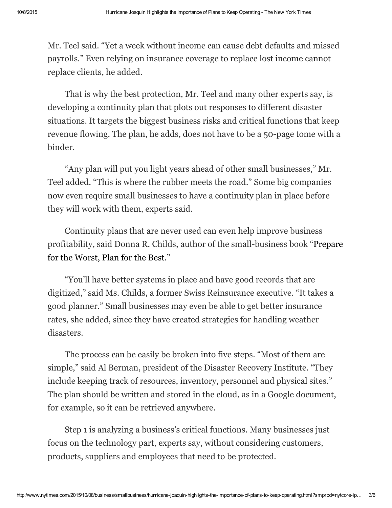Mr. Teel said. "Yet a week without income can cause debt defaults and missed payrolls." Even relying on insurance coverage to replace lost income cannot replace clients, he added.

That is why the best protection, Mr. Teel and many other experts say, is developing a continuity plan that plots out responses to different disaster situations. It targets the biggest business risks and critical functions that keep revenue flowing. The plan, he adds, does not have to be a 50-page tome with a binder.

"Any plan will put you light years ahead of other small businesses," Mr. Teel added. "This is where the rubber meets the road." Some big companies now even require small businesses to have a continuity plan in place before they will work with them, experts said.

Continuity plans that are never used can even help improve business profitability, said Donna R. Childs, author of the small-business book "Prepare" for the Worst, Plan for the Best."

"You'll have better systems in place and have good records that are digitized," said Ms. Childs, a former Swiss Reinsurance executive. "It takes a good planner." Small businesses may even be able to get better insurance rates, she added, since they have created strategies for handling weather disasters.

The process can be easily be broken into five steps. "Most of them are simple," said Al Berman, president of the Disaster Recovery Institute. "They include keeping track of resources, inventory, personnel and physical sites." The plan should be written and stored in the cloud, as in a Google document, for example, so it can be retrieved anywhere.

Step 1 is analyzing a business's critical functions. Many businesses just focus on the technology part, experts say, without considering customers, products, suppliers and employees that need to be protected.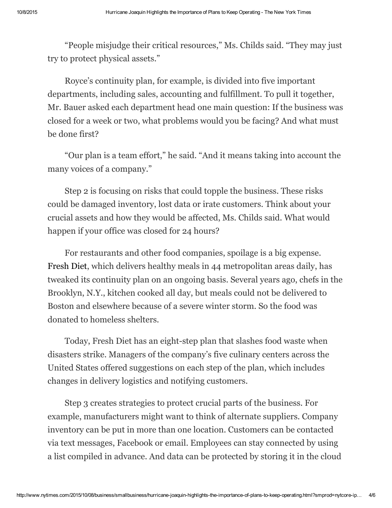"People misjudge their critical resources," Ms. Childs said. "They may just try to protect physical assets."

Royce's continuity plan, for example, is divided into five important departments, including sales, accounting and fulfillment. To pull it together, Mr. Bauer asked each department head one main question: If the business was closed for a week or two, what problems would you be facing? And what must be done first?

"Our plan is a team effort," he said. "And it means taking into account the many voices of a company."

Step 2 is focusing on risks that could topple the business. These risks could be damaged inventory, lost data or irate customers. Think about your crucial assets and how they would be affected, Ms. Childs said. What would happen if your office was closed for 24 hours?

For restaurants and other food companies, spoilage is a big expense. [Fresh](http://www.thefreshdiet.com/) Diet, which delivers healthy meals in 44 metropolitan areas daily, has tweaked its continuity plan on an ongoing basis. Several years ago, chefs in the Brooklyn, N.Y., kitchen cooked all day, but meals could not be delivered to Boston and elsewhere because of a severe winter storm. So the food was donated to homeless shelters.

Today, Fresh Diet has an eight-step plan that slashes food waste when disasters strike. Managers of the company's five culinary centers across the United States offered suggestions on each step of the plan, which includes changes in delivery logistics and notifying customers.

Step 3 creates strategies to protect crucial parts of the business. For example, manufacturers might want to think of alternate suppliers. Company inventory can be put in more than one location. Customers can be contacted via text messages, Facebook or email. Employees can stay connected by using a list compiled in advance. And data can be protected by storing it in the cloud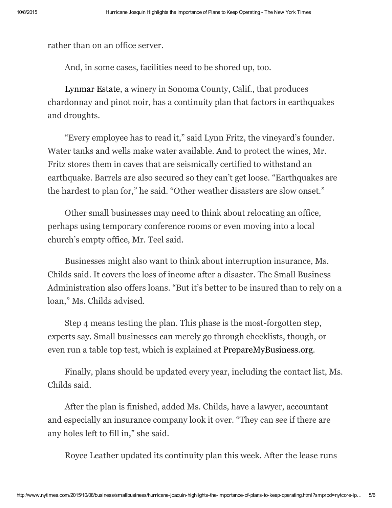rather than on an office server.

And, in some cases, facilities need to be shored up, too.

[Lynmar](http://www.lynmarestate.com/) Estate, a winery in Sonoma County, Calif., that produces chardonnay and pinot noir, has a continuity plan that factors in earthquakes and droughts.

"Every employee has to read it," said Lynn Fritz, the vineyard's founder. Water tanks and wells make water available. And to protect the wines, Mr. Fritz stores them in caves that are seismically certified to withstand an earthquake. Barrels are also secured so they can't get loose. "Earthquakes are the hardest to plan for," he said. "Other weather disasters are slow onset."

Other small businesses may need to think about relocating an office, perhaps using temporary conference rooms or even moving into a local church's empty office, Mr. Teel said.

Businesses might also want to think about interruption insurance, Ms. Childs said. It covers the loss of income after a disaster. The Small Business Administration also offers loans. "But it's better to be insured than to rely on a loan," Ms. Childs advised.

Step 4 means testing the plan. This phase is the most-forgotten step, experts say. Small businesses can merely go through checklists, though, or even run a table top test, which is explained at [PrepareMyBusiness.org.](http://preparemybusiness.org/)

Finally, plans should be updated every year, including the contact list, Ms. Childs said.

After the plan is finished, added Ms. Childs, have a lawyer, accountant and especially an insurance company look it over. "They can see if there are any holes left to fill in," she said.

Royce Leather updated its continuity plan this week. After the lease runs